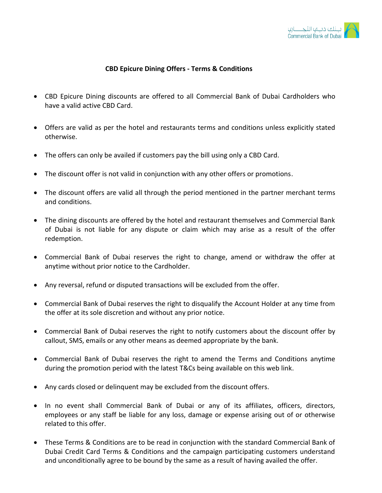

## **CBD Epicure Dining Offers - Terms & Conditions**

- CBD Epicure Dining discounts are offered to all Commercial Bank of Dubai Cardholders who have a valid active CBD Card.
- Offers are valid as per the hotel and restaurants terms and conditions unless explicitly stated otherwise.
- The offers can only be availed if customers pay the bill using only a CBD Card.
- The discount offer is not valid in conjunction with any other offers or promotions.
- The discount offers are valid all through the period mentioned in the partner merchant terms and conditions.
- The dining discounts are offered by the hotel and restaurant themselves and Commercial Bank of Dubai is not liable for any dispute or claim which may arise as a result of the offer redemption.
- Commercial Bank of Dubai reserves the right to change, amend or withdraw the offer at anytime without prior notice to the Cardholder.
- Any reversal, refund or disputed transactions will be excluded from the offer.
- Commercial Bank of Dubai reserves the right to disqualify the Account Holder at any time from the offer at its sole discretion and without any prior notice.
- Commercial Bank of Dubai reserves the right to notify customers about the discount offer by callout, SMS, emails or any other means as deemed appropriate by the bank.
- Commercial Bank of Dubai reserves the right to amend the Terms and Conditions anytime during the promotion period with the latest T&Cs being available on this web link.
- Any cards closed or delinquent may be excluded from the discount offers.
- In no event shall Commercial Bank of Dubai or any of its affiliates, officers, directors, employees or any staff be liable for any loss, damage or expense arising out of or otherwise related to this offer.
- These Terms & Conditions are to be read in conjunction with the standard Commercial Bank of Dubai Credit Card Terms & Conditions and the campaign participating customers understand and unconditionally agree to be bound by the same as a result of having availed the offer.